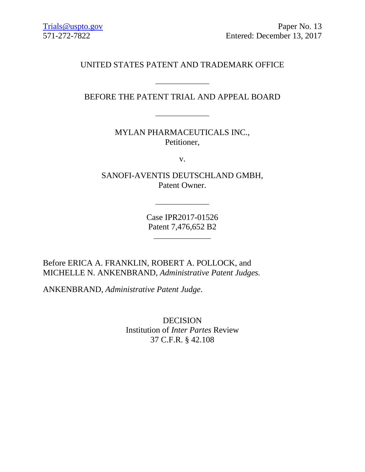# UNITED STATES PATENT AND TRADEMARK OFFICE

# BEFORE THE PATENT TRIAL AND APPEAL BOARD

\_\_\_\_\_\_\_\_\_\_\_\_\_\_\_

MYLAN PHARMACEUTICALS INC., Petitioner,

v.

SANOFI-AVENTIS DEUTSCHLAND GMBH, Patent Owner.

> Case IPR2017-01526 Patent 7,476,652 B2

> > \_\_\_\_\_\_\_\_\_\_\_\_\_\_\_\_

 $\overline{\phantom{a}}$  , and the set of the set of the set of the set of the set of the set of the set of the set of the set of the set of the set of the set of the set of the set of the set of the set of the set of the set of the s

Before ERICA A. FRANKLIN, ROBERT A. POLLOCK, and MICHELLE N. ANKENBRAND, *Administrative Patent Judges.*

ANKENBRAND, *Administrative Patent Judge*.

DECISION Institution of *Inter Partes* Review 37 C.F.R. § 42.108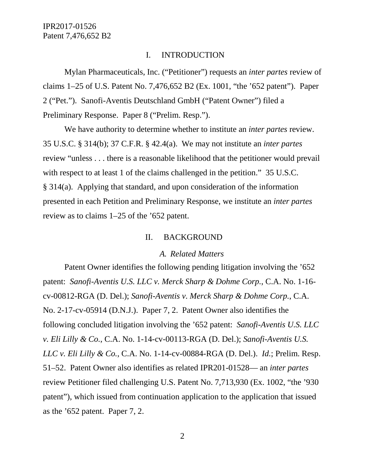#### I. INTRODUCTION

Mylan Pharmaceuticals, Inc. ("Petitioner") requests an *inter partes* review of claims 1–25 of U.S. Patent No. 7,476,652 B2 (Ex. 1001, "the '652 patent"). Paper 2 ("Pet."). Sanofi-Aventis Deutschland GmbH ("Patent Owner") filed a Preliminary Response. Paper 8 ("Prelim. Resp.").

We have authority to determine whether to institute an *inter partes* review. 35 U.S.C. § 314(b); 37 C.F.R. § 42.4(a). We may not institute an *inter partes* review "unless . . . there is a reasonable likelihood that the petitioner would prevail with respect to at least 1 of the claims challenged in the petition." 35 U.S.C. § 314(a). Applying that standard, and upon consideration of the information presented in each Petition and Preliminary Response, we institute an *inter partes*  review as to claims 1–25 of the '652 patent.

#### II. BACKGROUND

#### *A. Related Matters*

Patent Owner identifies the following pending litigation involving the '652 patent: *Sanofi-Aventis U.S. LLC v. Merck Sharp & Dohme Corp.*, C.A. No. 1-16 cv-00812-RGA (D. Del.); *Sanofi-Aventis v. Merck Sharp & Dohme Corp.*, C.A. No. 2-17-cv-05914 (D.N.J.). Paper 7, 2. Patent Owner also identifies the following concluded litigation involving the '652 patent: *Sanofi-Aventis U.S. LLC v. Eli Lilly & Co.*, C.A. No. 1-14-cv-00113-RGA (D. Del.); *Sanofi-Aventis U.S. LLC v. Eli Lilly & Co.*, C.A. No. 1-14-cv-00884-RGA (D. Del.). *Id.*; Prelim. Resp. 51–52. Patent Owner also identifies as related IPR201-01528— an *inter partes*  review Petitioner filed challenging U.S. Patent No. 7,713,930 (Ex. 1002, "the '930 patent"), which issued from continuation application to the application that issued as the '652 patent. Paper 7, 2.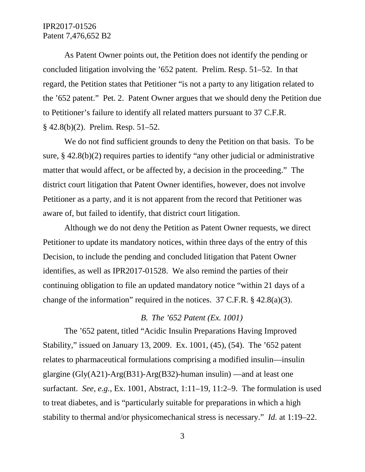As Patent Owner points out, the Petition does not identify the pending or concluded litigation involving the '652 patent. Prelim. Resp. 51–52. In that regard, the Petition states that Petitioner "is not a party to any litigation related to the '652 patent." Pet. 2. Patent Owner argues that we should deny the Petition due to Petitioner's failure to identify all related matters pursuant to 37 C.F.R. § 42.8(b)(2). Prelim. Resp. 51–52.

We do not find sufficient grounds to deny the Petition on that basis. To be sure, § 42.8(b)(2) requires parties to identify "any other judicial or administrative matter that would affect, or be affected by, a decision in the proceeding." The district court litigation that Patent Owner identifies, however, does not involve Petitioner as a party, and it is not apparent from the record that Petitioner was aware of, but failed to identify, that district court litigation.

Although we do not deny the Petition as Patent Owner requests, we direct Petitioner to update its mandatory notices, within three days of the entry of this Decision, to include the pending and concluded litigation that Patent Owner identifies, as well as IPR2017-01528. We also remind the parties of their continuing obligation to file an updated mandatory notice "within 21 days of a change of the information" required in the notices.  $37$  C.F.R. § 42.8(a)(3).

#### *B. The '652 Patent (Ex. 1001)*

The '652 patent, titled "Acidic Insulin Preparations Having Improved Stability," issued on January 13, 2009. Ex. 1001, (45), (54). The '652 patent relates to pharmaceutical formulations comprising a modified insulin—insulin glargine (Gly(A21)-Arg(B31)-Arg(B32)-human insulin) —and at least one surfactant. *See, e.g.*, Ex. 1001, Abstract, 1:11–19, 11:2–9. The formulation is used to treat diabetes, and is "particularly suitable for preparations in which a high stability to thermal and/or physicomechanical stress is necessary." *Id.* at 1:19–22.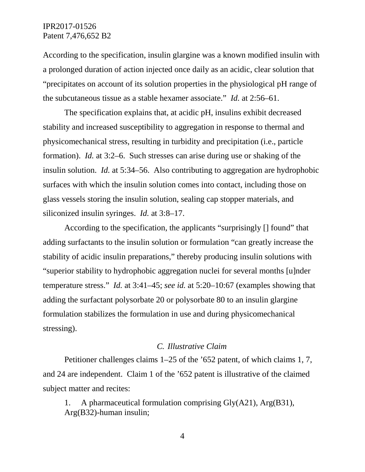According to the specification, insulin glargine was a known modified insulin with a prolonged duration of action injected once daily as an acidic, clear solution that "precipitates on account of its solution properties in the physiological pH range of the subcutaneous tissue as a stable hexamer associate." *Id.* at 2:56–61.

The specification explains that, at acidic pH, insulins exhibit decreased stability and increased susceptibility to aggregation in response to thermal and physicomechanical stress, resulting in turbidity and precipitation (i.e., particle formation). *Id.* at 3:2–6. Such stresses can arise during use or shaking of the insulin solution. *Id.* at 5:34–56. Also contributing to aggregation are hydrophobic surfaces with which the insulin solution comes into contact, including those on glass vessels storing the insulin solution, sealing cap stopper materials, and siliconized insulin syringes. *Id.* at 3:8–17.

According to the specification, the applicants "surprisingly [] found" that adding surfactants to the insulin solution or formulation "can greatly increase the stability of acidic insulin preparations," thereby producing insulin solutions with "superior stability to hydrophobic aggregation nuclei for several months [u]nder temperature stress." *Id.* at 3:41–45; *see id.* at 5:20–10:67 (examples showing that adding the surfactant polysorbate 20 or polysorbate 80 to an insulin glargine formulation stabilizes the formulation in use and during physicomechanical stressing).

#### *C. Illustrative Claim*

Petitioner challenges claims 1–25 of the '652 patent, of which claims 1, 7, and 24 are independent. Claim 1 of the '652 patent is illustrative of the claimed subject matter and recites:

1. A pharmaceutical formulation comprising Gly(A21), Arg(B31), Arg(B32)-human insulin;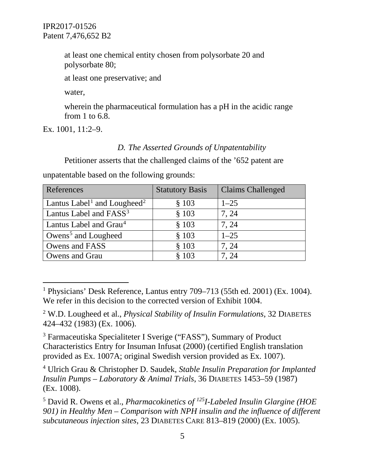at least one chemical entity chosen from polysorbate 20 and polysorbate 80;

at least one preservative; and

water,

wherein the pharmaceutical formulation has a pH in the acidic range from 1 to 6.8.

Ex. 1001, 11:2–9.

# *D. The Asserted Grounds of Unpatentability*

Petitioner asserts that the challenged claims of the '652 patent are unpatentable based on the following grounds:

| References                                          | <b>Statutory Basis</b> | <b>Claims Challenged</b> |
|-----------------------------------------------------|------------------------|--------------------------|
| Lantus Label <sup>1</sup> and Lougheed <sup>2</sup> | \$103                  | $1 - 25$                 |
| Lantus Label and FASS <sup>3</sup>                  | \$103                  | 7, 24                    |
| Lantus Label and Grau <sup>4</sup>                  | \$103                  | 7, 24                    |
| Owens <sup>5</sup> and Lougheed                     | \$103                  | $1 - 25$                 |
| Owens and FASS                                      | \$103                  | 7, 24                    |
| Owens and Grau                                      | \$103                  | 7.24                     |

<span id="page-4-2"></span><sup>3</sup> Farmaceutiska Specialiteter I Sverige ("FASS"), Summary of Product Characteristics Entry for Insuman Infusat (2000) (certified English translation provided as Ex. 1007A; original Swedish version provided as Ex. 1007).

<span id="page-4-3"></span><sup>4</sup> Ulrich Grau & Christopher D. Saudek, *Stable Insulin Preparation for Implanted Insulin Pumps – Laboratory & Animal Trials*, 36 DIABETES 1453–59 (1987) (Ex. 1008).

<span id="page-4-0"></span> <sup>1</sup> Physicians' Desk Reference, Lantus entry 709–713 (55th ed. 2001) (Ex. 1004). We refer in this decision to the corrected version of Exhibit 1004.

<span id="page-4-1"></span><sup>2</sup> W.D. Lougheed et al., *Physical Stability of Insulin Formulations*, 32 DIABETES 424–432 (1983) (Ex. 1006).

<span id="page-4-4"></span><sup>5</sup> David R. Owens et al., *Pharmacokinetics of 125I-Labeled Insulin Glargine (HOE 901) in Healthy Men – Comparison with NPH insulin and the influence of different subcutaneous injection sites*, 23 DIABETES CARE 813–819 (2000) (Ex. 1005).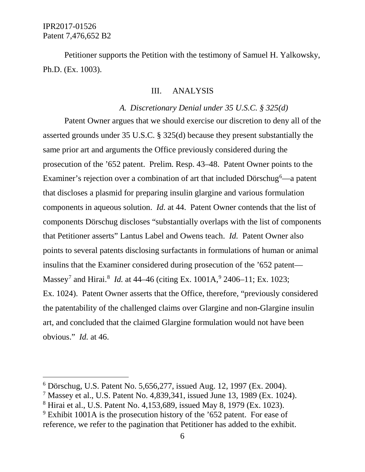Petitioner supports the Petition with the testimony of Samuel H. Yalkowsky, Ph.D. (Ex. 1003).

#### III. ANALYSIS

#### *A. Discretionary Denial under 35 U.S.C. § 325(d)*

Patent Owner argues that we should exercise our discretion to deny all of the asserted grounds under 35 U.S.C. § 325(d) because they present substantially the same prior art and arguments the Office previously considered during the prosecution of the '652 patent. Prelim. Resp. 43–48. Patent Owner points to the Examiner's rejection over a combination of art that included Dörschug<sup>[6](#page-5-0)</sup>—a patent that discloses a plasmid for preparing insulin glargine and various formulation components in aqueous solution. *Id.* at 44. Patent Owner contends that the list of components Dörschug discloses "substantially overlaps with the list of components that Petitioner asserts" Lantus Label and Owens teach. *Id.* Patent Owner also points to several patents disclosing surfactants in formulations of human or animal insulins that the Examiner considered during prosecution of the '652 patent— Massey<sup>[7](#page-5-1)</sup> and Hirai.<sup>[8](#page-5-2)</sup> *Id.* at 44–46 (citing Ex. 1001A, <sup>[9](#page-5-3)</sup> 2406–11; Ex. 1023; Ex. 1024). Patent Owner asserts that the Office, therefore, "previously considered the patentability of the challenged claims over Glargine and non-Glargine insulin art, and concluded that the claimed Glargine formulation would not have been obvious." *Id.* at 46.

<span id="page-5-0"></span> <sup>6</sup> Dörschug, U.S. Patent No. 5,656,277, issued Aug. 12, 1997 (Ex. 2004).

<span id="page-5-1"></span><sup>7</sup> Massey et al., U.S. Patent No. 4,839,341, issued June 13, 1989 (Ex. 1024).

<span id="page-5-2"></span><sup>8</sup> Hirai et al., U.S. Patent No. 4,153,689, issued May 8, 1979 (Ex. 1023).

<span id="page-5-3"></span> $9$  Exhibit 1001A is the prosecution history of the  $652$  patent. For ease of reference, we refer to the pagination that Petitioner has added to the exhibit.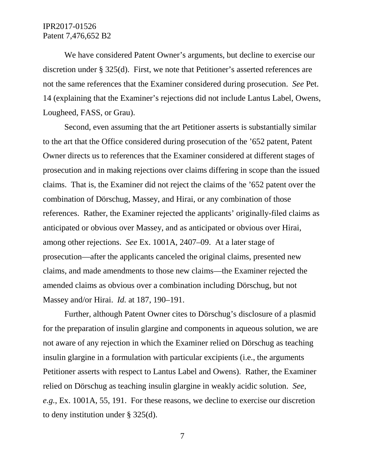We have considered Patent Owner's arguments, but decline to exercise our discretion under § 325(d). First, we note that Petitioner's asserted references are not the same references that the Examiner considered during prosecution. *See* Pet. 14 (explaining that the Examiner's rejections did not include Lantus Label, Owens, Lougheed, FASS, or Grau).

Second, even assuming that the art Petitioner asserts is substantially similar to the art that the Office considered during prosecution of the '652 patent, Patent Owner directs us to references that the Examiner considered at different stages of prosecution and in making rejections over claims differing in scope than the issued claims. That is, the Examiner did not reject the claims of the '652 patent over the combination of Dörschug, Massey, and Hirai, or any combination of those references. Rather, the Examiner rejected the applicants' originally-filed claims as anticipated or obvious over Massey, and as anticipated or obvious over Hirai, among other rejections. *See* Ex. 1001A, 2407–09. At a later stage of prosecution—after the applicants canceled the original claims, presented new claims, and made amendments to those new claims—the Examiner rejected the amended claims as obvious over a combination including Dörschug, but not Massey and/or Hirai. *Id.* at 187, 190–191.

Further, although Patent Owner cites to Dörschug's disclosure of a plasmid for the preparation of insulin glargine and components in aqueous solution, we are not aware of any rejection in which the Examiner relied on Dörschug as teaching insulin glargine in a formulation with particular excipients (i.e., the arguments Petitioner asserts with respect to Lantus Label and Owens). Rather, the Examiner relied on Dörschug as teaching insulin glargine in weakly acidic solution. *See, e.g.*, Ex. 1001A, 55, 191. For these reasons, we decline to exercise our discretion to deny institution under § 325(d).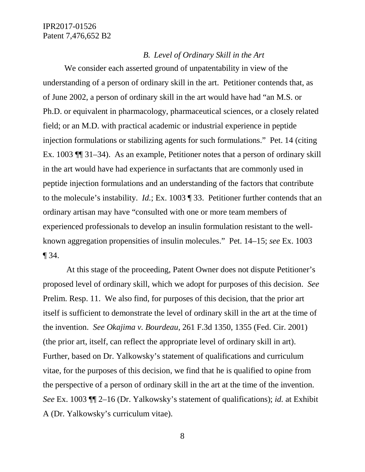#### *B. Level of Ordinary Skill in the Art*

We consider each asserted ground of unpatentability in view of the understanding of a person of ordinary skill in the art. Petitioner contends that, as of June 2002, a person of ordinary skill in the art would have had "an M.S. or Ph.D. or equivalent in pharmacology, pharmaceutical sciences, or a closely related field; or an M.D. with practical academic or industrial experience in peptide injection formulations or stabilizing agents for such formulations." Pet. 14 (citing Ex. 1003 ¶¶ 31–34). As an example, Petitioner notes that a person of ordinary skill in the art would have had experience in surfactants that are commonly used in peptide injection formulations and an understanding of the factors that contribute to the molecule's instability. *Id.*; Ex. 1003 ¶ 33. Petitioner further contends that an ordinary artisan may have "consulted with one or more team members of experienced professionals to develop an insulin formulation resistant to the wellknown aggregation propensities of insulin molecules." Pet. 14–15; *see* Ex. 1003 ¶ 34.

At this stage of the proceeding, Patent Owner does not dispute Petitioner's proposed level of ordinary skill, which we adopt for purposes of this decision. *See* Prelim. Resp. 11. We also find, for purposes of this decision, that the prior art itself is sufficient to demonstrate the level of ordinary skill in the art at the time of the invention. *See Okajima v. Bourdeau*, 261 F.3d 1350, 1355 (Fed. Cir. 2001) (the prior art, itself, can reflect the appropriate level of ordinary skill in art). Further, based on Dr. Yalkowsky's statement of qualifications and curriculum vitae, for the purposes of this decision, we find that he is qualified to opine from the perspective of a person of ordinary skill in the art at the time of the invention. *See* Ex. 1003 ¶¶ 2–16 (Dr. Yalkowsky's statement of qualifications); *id.* at Exhibit A (Dr. Yalkowsky's curriculum vitae).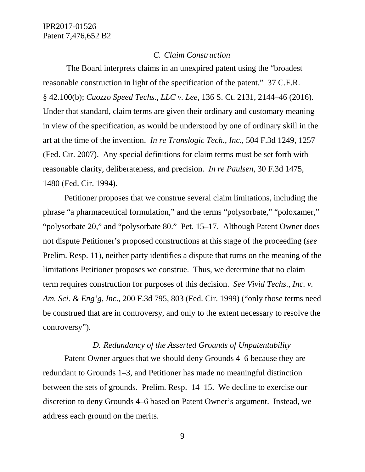#### *C. Claim Construction*

The Board interprets claims in an unexpired patent using the "broadest reasonable construction in light of the specification of the patent." 37 C.F.R. § 42.100(b); *Cuozzo Speed Techs., LLC v. Lee*, 136 S. Ct. 2131, 2144–46 (2016). Under that standard, claim terms are given their ordinary and customary meaning in view of the specification, as would be understood by one of ordinary skill in the art at the time of the invention. *In re Translogic Tech., Inc.*, 504 F.3d 1249, 1257 (Fed. Cir. 2007). Any special definitions for claim terms must be set forth with reasonable clarity, deliberateness, and precision. *In re Paulsen*, 30 F.3d 1475, 1480 (Fed. Cir. 1994).

Petitioner proposes that we construe several claim limitations, including the phrase "a pharmaceutical formulation," and the terms "polysorbate," "poloxamer," "polysorbate 20," and "polysorbate 80." Pet. 15–17. Although Patent Owner does not dispute Petitioner's proposed constructions at this stage of the proceeding (*see* Prelim. Resp. 11), neither party identifies a dispute that turns on the meaning of the limitations Petitioner proposes we construe. Thus, we determine that no claim term requires construction for purposes of this decision. *See Vivid Techs., Inc. v. Am. Sci. & Eng'g, Inc*., 200 F.3d 795, 803 (Fed. Cir. 1999) ("only those terms need be construed that are in controversy, and only to the extent necessary to resolve the controversy").

### *D. Redundancy of the Asserted Grounds of Unpatentability*

Patent Owner argues that we should deny Grounds 4–6 because they are redundant to Grounds 1–3, and Petitioner has made no meaningful distinction between the sets of grounds. Prelim. Resp. 14–15. We decline to exercise our discretion to deny Grounds 4–6 based on Patent Owner's argument. Instead, we address each ground on the merits.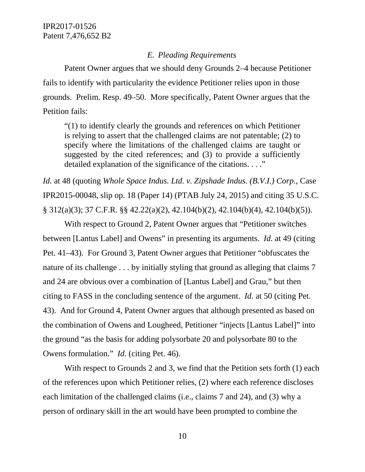#### *E. Pleading Requirements*

Patent Owner argues that we should deny Grounds 2–4 because Petitioner fails to identify with particularity the evidence Petitioner relies upon in those grounds. Prelim. Resp. 49–50. More specifically, Patent Owner argues that the Petition fails:

"(1) to identify clearly the grounds and references on which Petitioner is relying to assert that the challenged claims are not patentable; (2) to specify where the limitations of the challenged claims are taught or suggested by the cited references; and (3) to provide a sufficiently detailed explanation of the significance of the citations. . . ."

*Id.* at 48 (quoting *Whole Space Indus. Ltd. v. Zipshade Indus. (B.V.I.) Corp.*, Case IPR2015-00048, slip op. 18 (Paper 14) (PTAB July 24, 2015) and citing 35 U.S.C. § 312(a)(3); 37 C.F.R. §§ 42.22(a)(2), 42.104(b)(2), 42.104(b)(4), 42.104(b)(5)).

With respect to Ground 2, Patent Owner argues that "Petitioner switches between [Lantus Label] and Owens" in presenting its arguments. *Id.* at 49 (citing Pet. 41–43). For Ground 3, Patent Owner argues that Petitioner "obfuscates the nature of its challenge . . . by initially styling that ground as alleging that claims 7 and 24 are obvious over a combination of [Lantus Label] and Grau," but then citing to FASS in the concluding sentence of the argument. *Id.* at 50 (citing Pet. 43). And for Ground 4, Patent Owner argues that although presented as based on the combination of Owens and Lougheed, Petitioner "injects [Lantus Label]" into the ground "as the basis for adding polysorbate 20 and polysorbate 80 to the Owens formulation." *Id.* (citing Pet. 46).

With respect to Grounds 2 and 3, we find that the Petition sets forth (1) each of the references upon which Petitioner relies, (2) where each reference discloses each limitation of the challenged claims (i.e., claims 7 and 24), and (3) why a person of ordinary skill in the art would have been prompted to combine the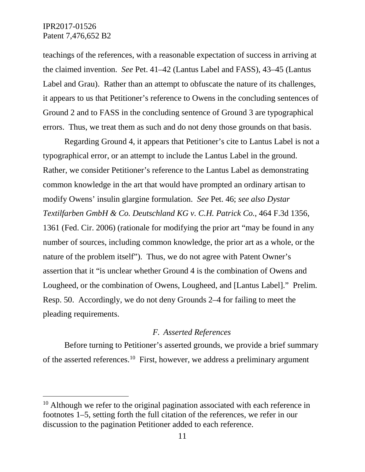teachings of the references, with a reasonable expectation of success in arriving at the claimed invention. *See* Pet. 41–42 (Lantus Label and FASS), 43–45 (Lantus Label and Grau). Rather than an attempt to obfuscate the nature of its challenges, it appears to us that Petitioner's reference to Owens in the concluding sentences of Ground 2 and to FASS in the concluding sentence of Ground 3 are typographical errors. Thus, we treat them as such and do not deny those grounds on that basis.

Regarding Ground 4, it appears that Petitioner's cite to Lantus Label is not a typographical error, or an attempt to include the Lantus Label in the ground. Rather, we consider Petitioner's reference to the Lantus Label as demonstrating common knowledge in the art that would have prompted an ordinary artisan to modify Owens' insulin glargine formulation. *See* Pet. 46; *see also Dystar Textilfarben GmbH & Co. Deutschland KG v. C.H. Patrick Co.*, 464 F.3d 1356, 1361 (Fed. Cir. 2006) (rationale for modifying the prior art "may be found in any number of sources, including common knowledge, the prior art as a whole, or the nature of the problem itself"). Thus, we do not agree with Patent Owner's assertion that it "is unclear whether Ground 4 is the combination of Owens and Lougheed, or the combination of Owens, Lougheed, and [Lantus Label]." Prelim. Resp. 50. Accordingly, we do not deny Grounds 2–4 for failing to meet the pleading requirements.

#### *F. Asserted References*

Before turning to Petitioner's asserted grounds, we provide a brief summary of the asserted references.[10](#page-10-0) First, however, we address a preliminary argument

<span id="page-10-0"></span> $10$  Although we refer to the original pagination associated with each reference in footnotes 1–5, setting forth the full citation of the references, we refer in our discussion to the pagination Petitioner added to each reference.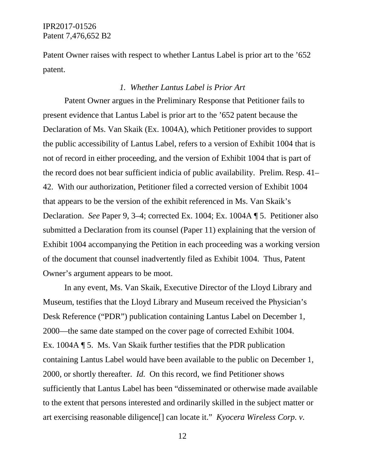Patent Owner raises with respect to whether Lantus Label is prior art to the '652 patent.

#### *1. Whether Lantus Label is Prior Art*

Patent Owner argues in the Preliminary Response that Petitioner fails to present evidence that Lantus Label is prior art to the '652 patent because the Declaration of Ms. Van Skaik (Ex. 1004A), which Petitioner provides to support the public accessibility of Lantus Label, refers to a version of Exhibit 1004 that is not of record in either proceeding, and the version of Exhibit 1004 that is part of the record does not bear sufficient indicia of public availability. Prelim. Resp. 41– 42. With our authorization, Petitioner filed a corrected version of Exhibit 1004 that appears to be the version of the exhibit referenced in Ms. Van Skaik's Declaration. *See* Paper 9, 3–4; corrected Ex. 1004; Ex. 1004A ¶ 5. Petitioner also submitted a Declaration from its counsel (Paper 11) explaining that the version of Exhibit 1004 accompanying the Petition in each proceeding was a working version of the document that counsel inadvertently filed as Exhibit 1004. Thus, Patent Owner's argument appears to be moot.

In any event, Ms. Van Skaik, Executive Director of the Lloyd Library and Museum, testifies that the Lloyd Library and Museum received the Physician's Desk Reference ("PDR") publication containing Lantus Label on December 1, 2000—the same date stamped on the cover page of corrected Exhibit 1004. Ex. 1004A ¶ 5. Ms. Van Skaik further testifies that the PDR publication containing Lantus Label would have been available to the public on December 1, 2000, or shortly thereafter. *Id.* On this record, we find Petitioner shows sufficiently that Lantus Label has been "disseminated or otherwise made available to the extent that persons interested and ordinarily skilled in the subject matter or art exercising reasonable diligence[] can locate it." *Kyocera Wireless Corp. v.*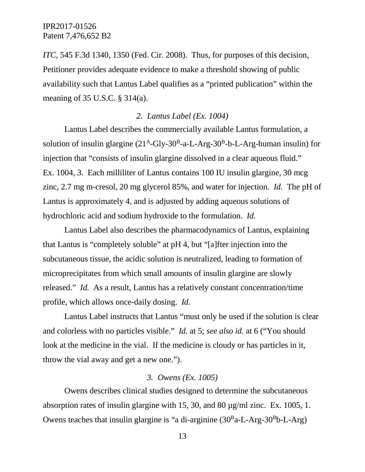*ITC*, 545 F.3d 1340, 1350 (Fed. Cir. 2008). Thus, for purposes of this decision, Petitioner provides adequate evidence to make a threshold showing of public availability such that Lantus Label qualifies as a "printed publication" within the meaning of 35 U.S.C. § 314(a).

# *2. Lantus Label (Ex. 1004)*

Lantus Label describes the commercially available Lantus formulation, a solution of insulin glargine  $(21^A$ -Gly-30<sup>B</sup>-a-L-Arg-30<sup>B</sup>-b-L-Arg-human insulin) for injection that "consists of insulin glargine dissolved in a clear aqueous fluid." Ex. 1004, 3. Each milliliter of Lantus contains 100 IU insulin glargine, 30 mcg zinc, 2.7 mg m-cresol, 20 mg glycerol 85%, and water for injection. *Id.* The pH of Lantus is approximately 4, and is adjusted by adding aqueous solutions of hydrochloric acid and sodium hydroxide to the formulation. *Id.*

Lantus Label also describes the pharmacodynamics of Lantus, explaining that Lantus is "completely soluble" at pH 4, but "[a]fter injection into the subcutaneous tissue, the acidic solution is neutralized, leading to formation of microprecipitates from which small amounts of insulin glargine are slowly released." *Id.* As a result, Lantus has a relatively constant concentration/time profile, which allows once-daily dosing. *Id.*

Lantus Label instructs that Lantus "must only be used if the solution is clear and colorless with no particles visible." *Id.* at 5; *see also id.* at 6 ("You should look at the medicine in the vial. If the medicine is cloudy or has particles in it, throw the vial away and get a new one.").

### *3. Owens (Ex. 1005)*

Owens describes clinical studies designed to determine the subcutaneous absorption rates of insulin glargine with 15, 30, and 80 µg/ml zinc. Ex. 1005, 1. Owens teaches that insulin glargine is "a di-arginine  $(30<sup>B</sup>a-L-Arg-30<sup>B</sup>b-L-Arg)$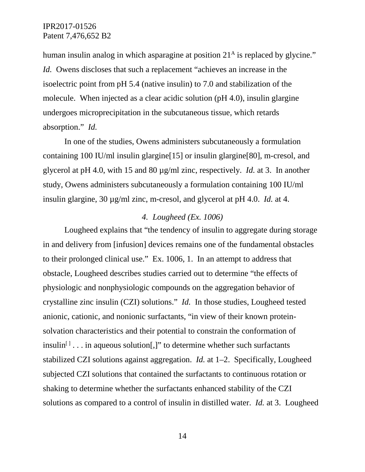human insulin analog in which asparagine at position  $21<sup>A</sup>$  is replaced by glycine." *Id.* Owens discloses that such a replacement "achieves an increase in the isoelectric point from pH 5.4 (native insulin) to 7.0 and stabilization of the molecule. When injected as a clear acidic solution (pH 4.0), insulin glargine undergoes microprecipitation in the subcutaneous tissue, which retards absorption." *Id.*

In one of the studies, Owens administers subcutaneously a formulation containing 100 IU/ml insulin glargine[15] or insulin glargine[80], m-cresol, and glycerol at pH 4.0, with 15 and 80 µg/ml zinc, respectively. *Id.* at 3. In another study, Owens administers subcutaneously a formulation containing 100 IU/ml insulin glargine, 30 µg/ml zinc, m-cresol, and glycerol at pH 4.0. *Id.* at 4.

### *4. Lougheed (Ex. 1006)*

Lougheed explains that "the tendency of insulin to aggregate during storage in and delivery from [infusion] devices remains one of the fundamental obstacles to their prolonged clinical use." Ex. 1006, 1. In an attempt to address that obstacle, Lougheed describes studies carried out to determine "the effects of physiologic and nonphysiologic compounds on the aggregation behavior of crystalline zinc insulin (CZI) solutions." *Id.* In those studies, Lougheed tested anionic, cationic, and nonionic surfactants, "in view of their known proteinsolvation characteristics and their potential to constrain the conformation of insulin<sup> $[1]$ </sup>... in aqueous solution[,]" to determine whether such surfactants stabilized CZI solutions against aggregation. *Id.* at 1–2. Specifically, Lougheed subjected CZI solutions that contained the surfactants to continuous rotation or shaking to determine whether the surfactants enhanced stability of the CZI solutions as compared to a control of insulin in distilled water. *Id.* at 3. Lougheed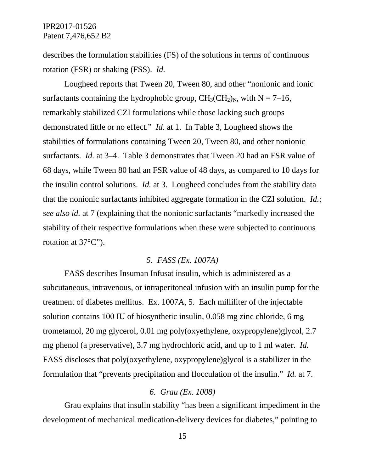describes the formulation stabilities (FS) of the solutions in terms of continuous rotation (FSR) or shaking (FSS). *Id.*

Lougheed reports that Tween 20, Tween 80, and other "nonionic and ionic surfactants containing the hydrophobic group,  $CH_3CH_2$ <sub>N</sub>, with N = 7–16, remarkably stabilized CZI formulations while those lacking such groups demonstrated little or no effect." *Id.* at 1. In Table 3, Lougheed shows the stabilities of formulations containing Tween 20, Tween 80, and other nonionic surfactants. *Id.* at 3–4. Table 3 demonstrates that Tween 20 had an FSR value of 68 days, while Tween 80 had an FSR value of 48 days, as compared to 10 days for the insulin control solutions. *Id.* at 3. Lougheed concludes from the stability data that the nonionic surfactants inhibited aggregate formation in the CZI solution. *Id.*; *see also id.* at 7 (explaining that the nonionic surfactants "markedly increased the stability of their respective formulations when these were subjected to continuous rotation at 37°C").

# *5. FASS (Ex. 1007A)*

FASS describes Insuman Infusat insulin, which is administered as a subcutaneous, intravenous, or intraperitoneal infusion with an insulin pump for the treatment of diabetes mellitus. Ex. 1007A, 5. Each milliliter of the injectable solution contains 100 IU of biosynthetic insulin, 0.058 mg zinc chloride, 6 mg trometamol, 20 mg glycerol, 0.01 mg poly(oxyethylene, oxypropylene)glycol, 2.7 mg phenol (a preservative), 3.7 mg hydrochloric acid, and up to 1 ml water. *Id.* FASS discloses that poly(oxyethylene, oxypropylene)glycol is a stabilizer in the formulation that "prevents precipitation and flocculation of the insulin." *Id.* at 7.

### *6. Grau (Ex. 1008)*

Grau explains that insulin stability "has been a significant impediment in the development of mechanical medication-delivery devices for diabetes," pointing to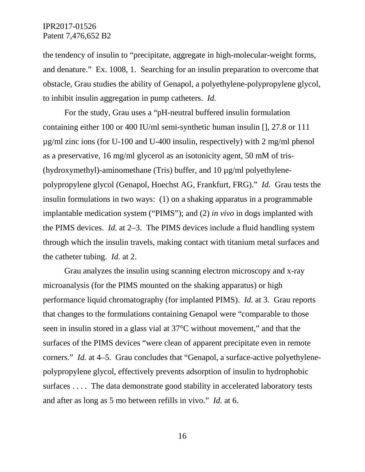the tendency of insulin to "precipitate, aggregate in high-molecular-weight forms, and denature." Ex. 1008, 1. Searching for an insulin preparation to overcome that obstacle, Grau studies the ability of Genapol, a polyethylene-polypropylene glycol, to inhibit insulin aggregation in pump catheters. *Id.*

For the study, Grau uses a "pH-neutral buffered insulin formulation containing either 100 or 400 IU/ml semi-synthetic human insulin [], 27.8 or 111 µg/ml zinc ions (for U-100 and U-400 insulin, respectively) with 2 mg/ml phenol as a preservative, 16 mg/ml glycerol as an isotonicity agent, 50 mM of tris- (hydroxymethyl)-aminomethane (Tris) buffer, and  $10 \mu g/ml$  polyethylenepolypropylene glycol (Genapol, Hoechst AG, Frankfurt, FRG)." *Id.* Grau tests the insulin formulations in two ways: (1) on a shaking apparatus in a programmable implantable medication system ("PIMS"); and (2) *in vivo* in dogs implanted with the PIMS devices. *Id.* at 2–3. The PIMS devices include a fluid handling system through which the insulin travels, making contact with titanium metal surfaces and the catheter tubing. *Id.* at 2.

Grau analyzes the insulin using scanning electron microscopy and x-ray microanalysis (for the PIMS mounted on the shaking apparatus) or high performance liquid chromatography (for implanted PIMS). *Id.* at 3. Grau reports that changes to the formulations containing Genapol were "comparable to those seen in insulin stored in a glass vial at 37°C without movement," and that the surfaces of the PIMS devices "were clean of apparent precipitate even in remote corners." *Id.* at 4–5. Grau concludes that "Genapol, a surface-active polyethylenepolypropylene glycol, effectively prevents adsorption of insulin to hydrophobic surfaces . . . . The data demonstrate good stability in accelerated laboratory tests and after as long as 5 mo between refills in vivo." *Id.* at 6.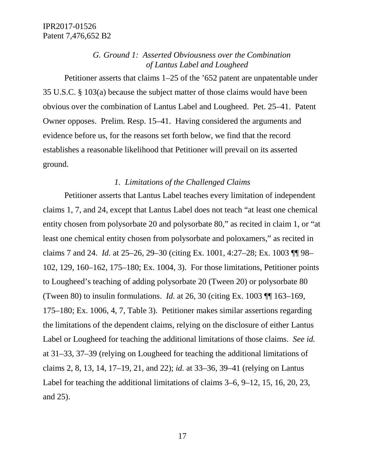*G. Ground 1: Asserted Obviousness over the Combination of Lantus Label and Lougheed*

Petitioner asserts that claims 1–25 of the '652 patent are unpatentable under 35 U.S.C. § 103(a) because the subject matter of those claims would have been obvious over the combination of Lantus Label and Lougheed. Pet. 25–41. Patent Owner opposes. Prelim. Resp. 15–41. Having considered the arguments and evidence before us, for the reasons set forth below, we find that the record establishes a reasonable likelihood that Petitioner will prevail on its asserted ground.

# *1. Limitations of the Challenged Claims*

Petitioner asserts that Lantus Label teaches every limitation of independent claims 1, 7, and 24, except that Lantus Label does not teach "at least one chemical entity chosen from polysorbate 20 and polysorbate 80," as recited in claim 1, or "at least one chemical entity chosen from polysorbate and poloxamers," as recited in claims 7 and 24. *Id.* at 25–26, 29–30 (citing Ex. 1001, 4:27–28; Ex. 1003 ¶¶ 98– 102, 129, 160–162, 175–180; Ex. 1004, 3). For those limitations, Petitioner points to Lougheed's teaching of adding polysorbate 20 (Tween 20) or polysorbate 80 (Tween 80) to insulin formulations. *Id.* at 26, 30 (citing Ex. 1003 ¶¶ 163–169, 175–180; Ex. 1006, 4, 7, Table 3). Petitioner makes similar assertions regarding the limitations of the dependent claims, relying on the disclosure of either Lantus Label or Lougheed for teaching the additional limitations of those claims. *See id.* at 31–33, 37–39 (relying on Lougheed for teaching the additional limitations of claims 2, 8, 13, 14, 17–19, 21, and 22); *id.* at 33–36, 39–41 (relying on Lantus Label for teaching the additional limitations of claims 3–6, 9–12, 15, 16, 20, 23, and 25).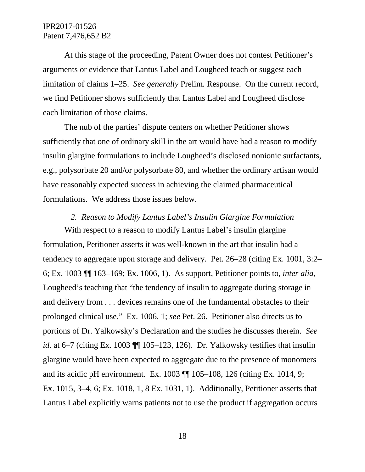At this stage of the proceeding, Patent Owner does not contest Petitioner's arguments or evidence that Lantus Label and Lougheed teach or suggest each limitation of claims 1–25. *See generally* Prelim. Response. On the current record, we find Petitioner shows sufficiently that Lantus Label and Lougheed disclose each limitation of those claims.

The nub of the parties' dispute centers on whether Petitioner shows sufficiently that one of ordinary skill in the art would have had a reason to modify insulin glargine formulations to include Lougheed's disclosed nonionic surfactants, e.g., polysorbate 20 and/or polysorbate 80, and whether the ordinary artisan would have reasonably expected success in achieving the claimed pharmaceutical formulations. We address those issues below.

### *2. Reason to Modify Lantus Label's Insulin Glargine Formulation*

With respect to a reason to modify Lantus Label's insulin glargine formulation, Petitioner asserts it was well-known in the art that insulin had a tendency to aggregate upon storage and delivery. Pet. 26–28 (citing Ex. 1001, 3:2– 6; Ex. 1003 ¶¶ 163–169; Ex. 1006, 1). As support, Petitioner points to, *inter alia*, Lougheed's teaching that "the tendency of insulin to aggregate during storage in and delivery from . . . devices remains one of the fundamental obstacles to their prolonged clinical use." Ex. 1006, 1; *see* Pet. 26. Petitioner also directs us to portions of Dr. Yalkowsky's Declaration and the studies he discusses therein. *See id.* at 6–7 (citing Ex. 1003 ¶¶ 105–123, 126). Dr. Yalkowsky testifies that insulin glargine would have been expected to aggregate due to the presence of monomers and its acidic pH environment. Ex. 1003 ¶¶ 105–108, 126 (citing Ex. 1014, 9; Ex. 1015, 3–4, 6; Ex. 1018, 1, 8 Ex. 1031, 1). Additionally, Petitioner asserts that Lantus Label explicitly warns patients not to use the product if aggregation occurs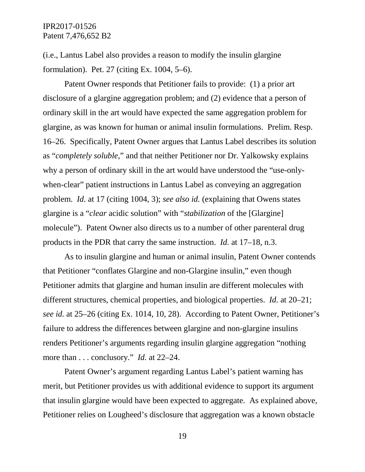(i.e., Lantus Label also provides a reason to modify the insulin glargine formulation). Pet. 27 (citing Ex. 1004, 5–6).

Patent Owner responds that Petitioner fails to provide: (1) a prior art disclosure of a glargine aggregation problem; and (2) evidence that a person of ordinary skill in the art would have expected the same aggregation problem for glargine, as was known for human or animal insulin formulations. Prelim. Resp. 16–26. Specifically, Patent Owner argues that Lantus Label describes its solution as "*completely soluble*," and that neither Petitioner nor Dr. Yalkowsky explains why a person of ordinary skill in the art would have understood the "use-onlywhen-clear" patient instructions in Lantus Label as conveying an aggregation problem. *Id.* at 17 (citing 1004, 3); *see also id.* (explaining that Owens states glargine is a "*clear* acidic solution" with "*stabilization* of the [Glargine] molecule"). Patent Owner also directs us to a number of other parenteral drug products in the PDR that carry the same instruction. *Id.* at 17–18, n.3.

As to insulin glargine and human or animal insulin, Patent Owner contends that Petitioner "conflates Glargine and non-Glargine insulin," even though Petitioner admits that glargine and human insulin are different molecules with different structures, chemical properties, and biological properties. *Id.* at 20–21; *see id.* at 25–26 (citing Ex. 1014, 10, 28). According to Patent Owner, Petitioner's failure to address the differences between glargine and non-glargine insulins renders Petitioner's arguments regarding insulin glargine aggregation "nothing more than . . . conclusory." *Id.* at 22–24.

Patent Owner's argument regarding Lantus Label's patient warning has merit, but Petitioner provides us with additional evidence to support its argument that insulin glargine would have been expected to aggregate. As explained above, Petitioner relies on Lougheed's disclosure that aggregation was a known obstacle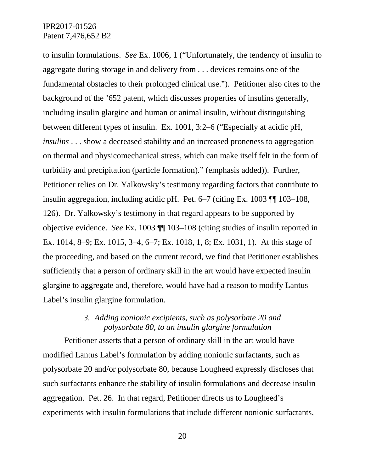to insulin formulations. *See* Ex. 1006, 1 ("Unfortunately, the tendency of insulin to aggregate during storage in and delivery from . . . devices remains one of the fundamental obstacles to their prolonged clinical use."). Petitioner also cites to the background of the '652 patent, which discusses properties of insulins generally, including insulin glargine and human or animal insulin, without distinguishing between different types of insulin. Ex. 1001, 3:2–6 ("Especially at acidic pH, *insulins* . . . show a decreased stability and an increased proneness to aggregation on thermal and physicomechanical stress, which can make itself felt in the form of turbidity and precipitation (particle formation)." (emphasis added)). Further, Petitioner relies on Dr. Yalkowsky's testimony regarding factors that contribute to insulin aggregation, including acidic pH. Pet. 6–7 (citing Ex. 1003 ¶¶ 103–108, 126). Dr. Yalkowsky's testimony in that regard appears to be supported by objective evidence. *See* Ex. 1003 ¶¶ 103–108 (citing studies of insulin reported in Ex. 1014, 8–9; Ex. 1015, 3–4, 6–7; Ex. 1018, 1, 8; Ex. 1031, 1). At this stage of the proceeding, and based on the current record, we find that Petitioner establishes sufficiently that a person of ordinary skill in the art would have expected insulin glargine to aggregate and, therefore, would have had a reason to modify Lantus Label's insulin glargine formulation.

# *3. Adding nonionic excipients, such as polysorbate 20 and polysorbate 80, to an insulin glargine formulation*

Petitioner asserts that a person of ordinary skill in the art would have modified Lantus Label's formulation by adding nonionic surfactants, such as polysorbate 20 and/or polysorbate 80, because Lougheed expressly discloses that such surfactants enhance the stability of insulin formulations and decrease insulin aggregation. Pet. 26. In that regard, Petitioner directs us to Lougheed's experiments with insulin formulations that include different nonionic surfactants,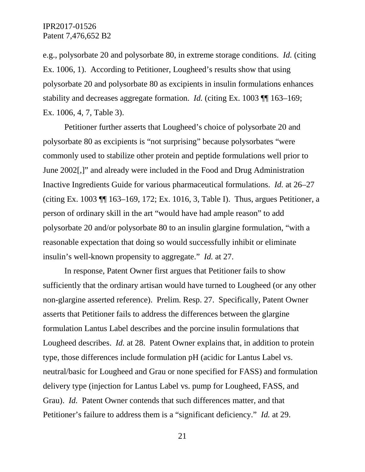e.g., polysorbate 20 and polysorbate 80, in extreme storage conditions. *Id.* (citing Ex. 1006, 1). According to Petitioner, Lougheed's results show that using polysorbate 20 and polysorbate 80 as excipients in insulin formulations enhances stability and decreases aggregate formation. *Id.* (citing Ex. 1003 ¶¶ 163–169; Ex. 1006, 4, 7, Table 3).

Petitioner further asserts that Lougheed's choice of polysorbate 20 and polysorbate 80 as excipients is "not surprising" because polysorbates "were commonly used to stabilize other protein and peptide formulations well prior to June 2002[,]" and already were included in the Food and Drug Administration Inactive Ingredients Guide for various pharmaceutical formulations. *Id.* at 26–27 (citing Ex. 1003 ¶¶ 163–169, 172; Ex. 1016, 3, Table I). Thus, argues Petitioner, a person of ordinary skill in the art "would have had ample reason" to add polysorbate 20 and/or polysorbate 80 to an insulin glargine formulation, "with a reasonable expectation that doing so would successfully inhibit or eliminate insulin's well-known propensity to aggregate." *Id.* at 27.

In response, Patent Owner first argues that Petitioner fails to show sufficiently that the ordinary artisan would have turned to Lougheed (or any other non-glargine asserted reference). Prelim. Resp. 27. Specifically, Patent Owner asserts that Petitioner fails to address the differences between the glargine formulation Lantus Label describes and the porcine insulin formulations that Lougheed describes. *Id.* at 28. Patent Owner explains that, in addition to protein type, those differences include formulation pH (acidic for Lantus Label vs. neutral/basic for Lougheed and Grau or none specified for FASS) and formulation delivery type (injection for Lantus Label vs. pump for Lougheed, FASS, and Grau). *Id.* Patent Owner contends that such differences matter, and that Petitioner's failure to address them is a "significant deficiency." *Id.* at 29.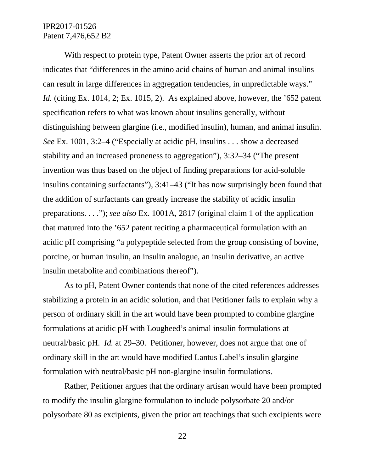With respect to protein type, Patent Owner asserts the prior art of record indicates that "differences in the amino acid chains of human and animal insulins can result in large differences in aggregation tendencies, in unpredictable ways." *Id.* (citing Ex. 1014, 2; Ex. 1015, 2). As explained above, however, the '652 patent specification refers to what was known about insulins generally, without distinguishing between glargine (i.e., modified insulin), human, and animal insulin. *See* Ex. 1001, 3:2–4 ("Especially at acidic pH, insulins . . . show a decreased stability and an increased proneness to aggregation"), 3:32–34 ("The present invention was thus based on the object of finding preparations for acid-soluble insulins containing surfactants"), 3:41–43 ("It has now surprisingly been found that the addition of surfactants can greatly increase the stability of acidic insulin preparations. . . ."); *see also* Ex. 1001A, 2817 (original claim 1 of the application that matured into the '652 patent reciting a pharmaceutical formulation with an acidic pH comprising "a polypeptide selected from the group consisting of bovine, porcine, or human insulin, an insulin analogue, an insulin derivative, an active insulin metabolite and combinations thereof").

As to pH, Patent Owner contends that none of the cited references addresses stabilizing a protein in an acidic solution, and that Petitioner fails to explain why a person of ordinary skill in the art would have been prompted to combine glargine formulations at acidic pH with Lougheed's animal insulin formulations at neutral/basic pH. *Id.* at 29–30. Petitioner, however, does not argue that one of ordinary skill in the art would have modified Lantus Label's insulin glargine formulation with neutral/basic pH non-glargine insulin formulations.

Rather, Petitioner argues that the ordinary artisan would have been prompted to modify the insulin glargine formulation to include polysorbate 20 and/or polysorbate 80 as excipients, given the prior art teachings that such excipients were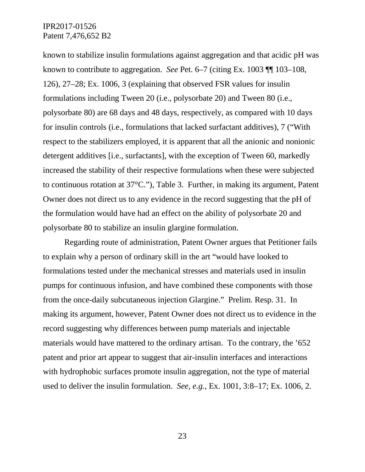known to stabilize insulin formulations against aggregation and that acidic pH was known to contribute to aggregation. *See* Pet. 6–7 (citing Ex. 1003 ¶¶ 103–108, 126), 27–28; Ex. 1006, 3 (explaining that observed FSR values for insulin formulations including Tween 20 (i.e., polysorbate 20) and Tween 80 (i.e., polysorbate 80) are 68 days and 48 days, respectively, as compared with 10 days for insulin controls (i.e., formulations that lacked surfactant additives), 7 ("With respect to the stabilizers employed, it is apparent that all the anionic and nonionic detergent additives [i.e., surfactants], with the exception of Tween 60, markedly increased the stability of their respective formulations when these were subjected to continuous rotation at 37°C."), Table 3. Further, in making its argument, Patent Owner does not direct us to any evidence in the record suggesting that the pH of the formulation would have had an effect on the ability of polysorbate 20 and polysorbate 80 to stabilize an insulin glargine formulation.

Regarding route of administration, Patent Owner argues that Petitioner fails to explain why a person of ordinary skill in the art "would have looked to formulations tested under the mechanical stresses and materials used in insulin pumps for continuous infusion, and have combined these components with those from the once-daily subcutaneous injection Glargine." Prelim. Resp. 31. In making its argument, however, Patent Owner does not direct us to evidence in the record suggesting why differences between pump materials and injectable materials would have mattered to the ordinary artisan. To the contrary, the '652 patent and prior art appear to suggest that air-insulin interfaces and interactions with hydrophobic surfaces promote insulin aggregation, not the type of material used to deliver the insulin formulation. *See, e.g.*, Ex. 1001, 3:8–17; Ex. 1006, 2.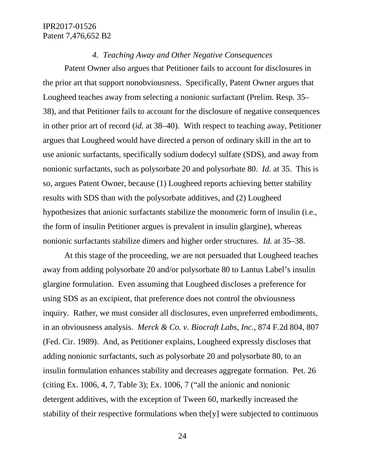#### *4. Teaching Away and Other Negative Consequences*

Patent Owner also argues that Petitioner fails to account for disclosures in the prior art that support nonobviousness. Specifically, Patent Owner argues that Lougheed teaches away from selecting a nonionic surfactant (Prelim. Resp. 35– 38), and that Petitioner fails to account for the disclosure of negative consequences in other prior art of record (*id.* at 38–40). With respect to teaching away, Petitioner argues that Lougheed would have directed a person of ordinary skill in the art to use anionic surfactants, specifically sodium dodecyl sulfate (SDS), and away from nonionic surfactants, such as polysorbate 20 and polysorbate 80. *Id.* at 35. This is so, argues Patent Owner, because (1) Lougheed reports achieving better stability results with SDS than with the polysorbate additives, and (2) Lougheed hypothesizes that anionic surfactants stabilize the monomeric form of insulin (i.e., the form of insulin Petitioner argues is prevalent in insulin glargine), whereas nonionic surfactants stabilize dimers and higher order structures. *Id.* at 35–38.

At this stage of the proceeding, we are not persuaded that Lougheed teaches away from adding polysorbate 20 and/or polysorbate 80 to Lantus Label's insulin glargine formulation. Even assuming that Lougheed discloses a preference for using SDS as an excipient, that preference does not control the obviousness inquiry. Rather, we must consider all disclosures, even unpreferred embodiments, in an obviousness analysis. *Merck & Co. v. Biocraft Labs, Inc.*, 874 F.2d 804, 807 (Fed. Cir. 1989). And, as Petitioner explains, Lougheed expressly discloses that adding nonionic surfactants, such as polysorbate 20 and polysorbate 80, to an insulin formulation enhances stability and decreases aggregate formation. Pet. 26 (citing Ex. 1006, 4, 7, Table 3); Ex. 1006, 7 ("all the anionic and nonionic detergent additives, with the exception of Tween 60, markedly increased the stability of their respective formulations when the[y] were subjected to continuous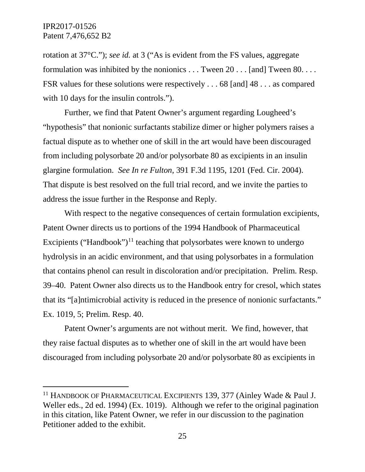rotation at 37°C."); *see id.* at 3 ("As is evident from the FS values, aggregate formulation was inhibited by the nonionics . . . Tween 20 . . . [and] Tween 80. . . . FSR values for these solutions were respectively . . . 68 [and] 48 . . . as compared with 10 days for the insulin controls.").

Further, we find that Patent Owner's argument regarding Lougheed's "hypothesis" that nonionic surfactants stabilize dimer or higher polymers raises a factual dispute as to whether one of skill in the art would have been discouraged from including polysorbate 20 and/or polysorbate 80 as excipients in an insulin glargine formulation. *See In re Fulton*, 391 F.3d 1195, 1201 (Fed. Cir. 2004). That dispute is best resolved on the full trial record, and we invite the parties to address the issue further in the Response and Reply.

With respect to the negative consequences of certain formulation excipients, Patent Owner directs us to portions of the 1994 Handbook of Pharmaceutical Excipients ("Handbook")<sup>[11](#page-24-0)</sup> teaching that polysorbates were known to undergo hydrolysis in an acidic environment, and that using polysorbates in a formulation that contains phenol can result in discoloration and/or precipitation. Prelim. Resp. 39–40. Patent Owner also directs us to the Handbook entry for cresol, which states that its "[a]ntimicrobial activity is reduced in the presence of nonionic surfactants." Ex. 1019, 5; Prelim. Resp. 40.

Patent Owner's arguments are not without merit. We find, however, that they raise factual disputes as to whether one of skill in the art would have been discouraged from including polysorbate 20 and/or polysorbate 80 as excipients in

<span id="page-24-0"></span><sup>&</sup>lt;sup>11</sup> HANDBOOK OF PHARMACEUTICAL EXCIPIENTS 139, 377 (Ainley Wade & Paul J. Weller eds., 2d ed. 1994) (Ex. 1019). Although we refer to the original pagination in this citation, like Patent Owner, we refer in our discussion to the pagination Petitioner added to the exhibit.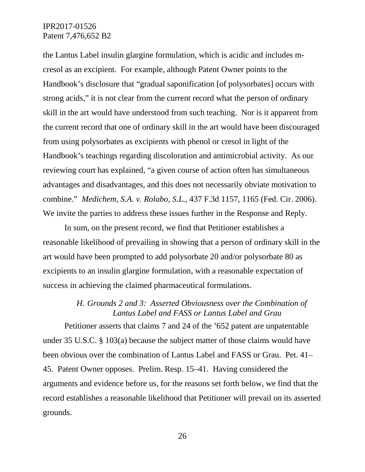the Lantus Label insulin glargine formulation, which is acidic and includes mcresol as an excipient. For example, although Patent Owner points to the Handbook's disclosure that "gradual saponification [of polysorbates] occurs with strong acids," it is not clear from the current record what the person of ordinary skill in the art would have understood from such teaching. Nor is it apparent from the current record that one of ordinary skill in the art would have been discouraged from using polysorbates as excipients with phenol or cresol in light of the Handbook's teachings regarding discoloration and antimicrobial activity. As our reviewing court has explained, "a given course of action often has simultaneous advantages and disadvantages, and this does not necessarily obviate motivation to combine." *Medichem, S.A. v. Rolabo, S.L.*, 437 F.3d 1157, 1165 (Fed. Cir. 2006). We invite the parties to address these issues further in the Response and Reply.

In sum, on the present record, we find that Petitioner establishes a reasonable likelihood of prevailing in showing that a person of ordinary skill in the art would have been prompted to add polysorbate 20 and/or polysorbate 80 as excipients to an insulin glargine formulation, with a reasonable expectation of success in achieving the claimed pharmaceutical formulations.

# *H. Grounds 2 and 3: Asserted Obviousness over the Combination of Lantus Label and FASS or Lantus Label and Grau*

Petitioner asserts that claims 7 and 24 of the '652 patent are unpatentable under 35 U.S.C. § 103(a) because the subject matter of those claims would have been obvious over the combination of Lantus Label and FASS or Grau. Pet. 41– 45. Patent Owner opposes. Prelim. Resp. 15–41. Having considered the arguments and evidence before us, for the reasons set forth below, we find that the record establishes a reasonable likelihood that Petitioner will prevail on its asserted grounds.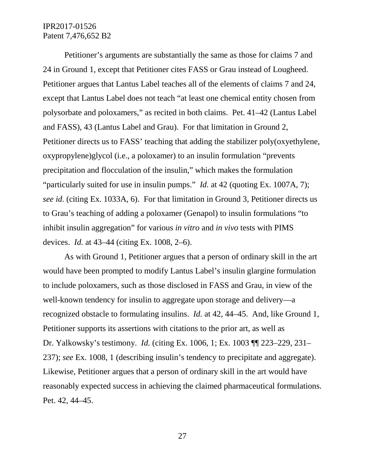Petitioner's arguments are substantially the same as those for claims 7 and 24 in Ground 1, except that Petitioner cites FASS or Grau instead of Lougheed. Petitioner argues that Lantus Label teaches all of the elements of claims 7 and 24, except that Lantus Label does not teach "at least one chemical entity chosen from polysorbate and poloxamers," as recited in both claims. Pet. 41–42 (Lantus Label and FASS), 43 (Lantus Label and Grau). For that limitation in Ground 2, Petitioner directs us to FASS' teaching that adding the stabilizer poly(oxyethylene, oxypropylene)glycol (i.e., a poloxamer) to an insulin formulation "prevents precipitation and flocculation of the insulin," which makes the formulation "particularly suited for use in insulin pumps." *Id.* at 42 (quoting Ex. 1007A, 7); *see id.* (citing Ex. 1033A, 6). For that limitation in Ground 3, Petitioner directs us to Grau's teaching of adding a poloxamer (Genapol) to insulin formulations "to inhibit insulin aggregation" for various *in vitro* and *in vivo* tests with PIMS devices. *Id.* at 43–44 (citing Ex. 1008, 2–6).

As with Ground 1, Petitioner argues that a person of ordinary skill in the art would have been prompted to modify Lantus Label's insulin glargine formulation to include poloxamers, such as those disclosed in FASS and Grau, in view of the well-known tendency for insulin to aggregate upon storage and delivery—a recognized obstacle to formulating insulins. *Id.* at 42, 44–45. And, like Ground 1, Petitioner supports its assertions with citations to the prior art, as well as Dr. Yalkowsky's testimony. *Id.* (citing Ex. 1006, 1; Ex. 1003 ¶¶ 223–229, 231– 237); *see* Ex. 1008, 1 (describing insulin's tendency to precipitate and aggregate). Likewise, Petitioner argues that a person of ordinary skill in the art would have reasonably expected success in achieving the claimed pharmaceutical formulations. Pet. 42, 44–45.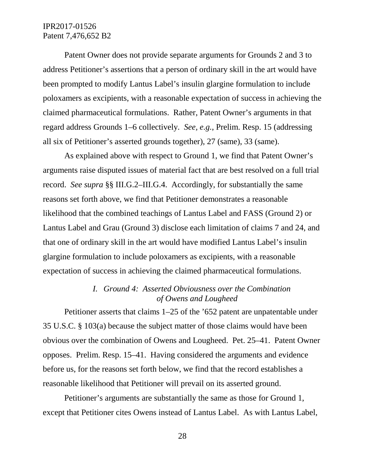Patent Owner does not provide separate arguments for Grounds 2 and 3 to address Petitioner's assertions that a person of ordinary skill in the art would have been prompted to modify Lantus Label's insulin glargine formulation to include poloxamers as excipients, with a reasonable expectation of success in achieving the claimed pharmaceutical formulations. Rather, Patent Owner's arguments in that regard address Grounds 1–6 collectively. *See, e.g.*, Prelim. Resp. 15 (addressing all six of Petitioner's asserted grounds together), 27 (same), 33 (same).

As explained above with respect to Ground 1, we find that Patent Owner's arguments raise disputed issues of material fact that are best resolved on a full trial record. *See supra* §§ III.G.2–III.G.4. Accordingly, for substantially the same reasons set forth above, we find that Petitioner demonstrates a reasonable likelihood that the combined teachings of Lantus Label and FASS (Ground 2) or Lantus Label and Grau (Ground 3) disclose each limitation of claims 7 and 24, and that one of ordinary skill in the art would have modified Lantus Label's insulin glargine formulation to include poloxamers as excipients, with a reasonable expectation of success in achieving the claimed pharmaceutical formulations.

# *I. Ground 4: Asserted Obviousness over the Combination of Owens and Lougheed*

Petitioner asserts that claims 1–25 of the '652 patent are unpatentable under 35 U.S.C. § 103(a) because the subject matter of those claims would have been obvious over the combination of Owens and Lougheed. Pet. 25–41. Patent Owner opposes. Prelim. Resp. 15–41. Having considered the arguments and evidence before us, for the reasons set forth below, we find that the record establishes a reasonable likelihood that Petitioner will prevail on its asserted ground.

Petitioner's arguments are substantially the same as those for Ground 1, except that Petitioner cites Owens instead of Lantus Label. As with Lantus Label,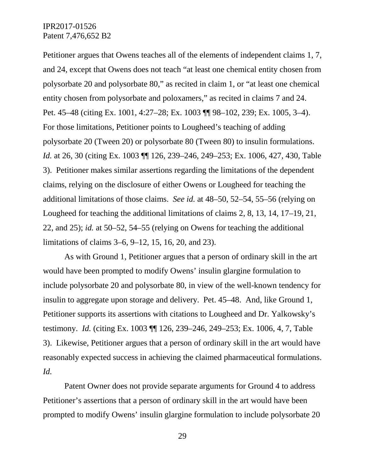Petitioner argues that Owens teaches all of the elements of independent claims 1, 7, and 24, except that Owens does not teach "at least one chemical entity chosen from polysorbate 20 and polysorbate 80," as recited in claim 1, or "at least one chemical entity chosen from polysorbate and poloxamers," as recited in claims 7 and 24. Pet. 45–48 (citing Ex. 1001, 4:27–28; Ex. 1003 ¶¶ 98–102, 239; Ex. 1005, 3–4). For those limitations, Petitioner points to Lougheed's teaching of adding polysorbate 20 (Tween 20) or polysorbate 80 (Tween 80) to insulin formulations. *Id.* at 26, 30 (citing Ex. 1003 ¶¶ 126, 239–246, 249–253; Ex. 1006, 427, 430, Table 3). Petitioner makes similar assertions regarding the limitations of the dependent claims, relying on the disclosure of either Owens or Lougheed for teaching the additional limitations of those claims. *See id.* at 48–50, 52–54, 55–56 (relying on Lougheed for teaching the additional limitations of claims 2, 8, 13, 14, 17–19, 21, 22, and 25); *id.* at 50–52, 54–55 (relying on Owens for teaching the additional limitations of claims 3–6, 9–12, 15, 16, 20, and 23).

As with Ground 1, Petitioner argues that a person of ordinary skill in the art would have been prompted to modify Owens' insulin glargine formulation to include polysorbate 20 and polysorbate 80, in view of the well-known tendency for insulin to aggregate upon storage and delivery. Pet. 45–48. And, like Ground 1, Petitioner supports its assertions with citations to Lougheed and Dr. Yalkowsky's testimony. *Id.* (citing Ex. 1003 ¶¶ 126, 239–246, 249–253; Ex. 1006, 4, 7, Table 3). Likewise, Petitioner argues that a person of ordinary skill in the art would have reasonably expected success in achieving the claimed pharmaceutical formulations. *Id.*

Patent Owner does not provide separate arguments for Ground 4 to address Petitioner's assertions that a person of ordinary skill in the art would have been prompted to modify Owens' insulin glargine formulation to include polysorbate 20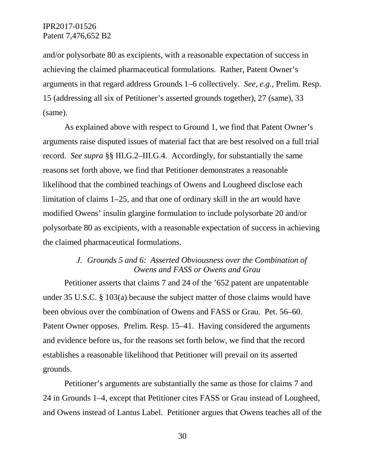and/or polysorbate 80 as excipients, with a reasonable expectation of success in achieving the claimed pharmaceutical formulations. Rather, Patent Owner's arguments in that regard address Grounds 1–6 collectively. *See, e.g.*, Prelim. Resp. 15 (addressing all six of Petitioner's asserted grounds together), 27 (same), 33 (same).

As explained above with respect to Ground 1, we find that Patent Owner's arguments raise disputed issues of material fact that are best resolved on a full trial record. *See supra* §§ III.G.2–III.G.4. Accordingly, for substantially the same reasons set forth above, we find that Petitioner demonstrates a reasonable likelihood that the combined teachings of Owens and Lougheed disclose each limitation of claims 1–25, and that one of ordinary skill in the art would have modified Owens' insulin glargine formulation to include polysorbate 20 and/or polysorbate 80 as excipients, with a reasonable expectation of success in achieving the claimed pharmaceutical formulations.

# *J. Grounds 5 and 6: Asserted Obviousness over the Combination of Owens and FASS or Owens and Grau*

Petitioner asserts that claims 7 and 24 of the '652 patent are unpatentable under 35 U.S.C. § 103(a) because the subject matter of those claims would have been obvious over the combination of Owens and FASS or Grau. Pet. 56–60. Patent Owner opposes. Prelim. Resp. 15–41. Having considered the arguments and evidence before us, for the reasons set forth below, we find that the record establishes a reasonable likelihood that Petitioner will prevail on its asserted grounds.

Petitioner's arguments are substantially the same as those for claims 7 and 24 in Grounds 1–4, except that Petitioner cites FASS or Grau instead of Lougheed, and Owens instead of Lantus Label. Petitioner argues that Owens teaches all of the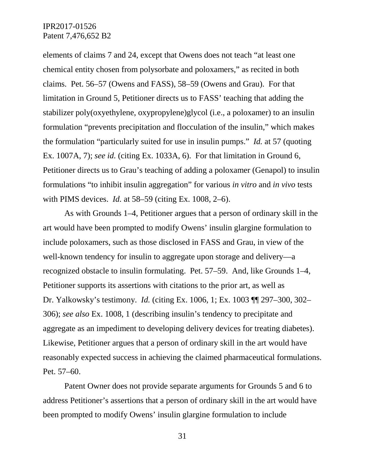elements of claims 7 and 24, except that Owens does not teach "at least one chemical entity chosen from polysorbate and poloxamers," as recited in both claims. Pet. 56–57 (Owens and FASS), 58–59 (Owens and Grau). For that limitation in Ground 5, Petitioner directs us to FASS' teaching that adding the stabilizer poly(oxyethylene, oxypropylene)glycol (i.e., a poloxamer) to an insulin formulation "prevents precipitation and flocculation of the insulin," which makes the formulation "particularly suited for use in insulin pumps." *Id.* at 57 (quoting Ex. 1007A, 7); *see id.* (citing Ex. 1033A, 6). For that limitation in Ground 6, Petitioner directs us to Grau's teaching of adding a poloxamer (Genapol) to insulin formulations "to inhibit insulin aggregation" for various *in vitro* and *in vivo* tests with PIMS devices. *Id.* at 58–59 (citing Ex. 1008, 2–6).

As with Grounds 1–4, Petitioner argues that a person of ordinary skill in the art would have been prompted to modify Owens' insulin glargine formulation to include poloxamers, such as those disclosed in FASS and Grau, in view of the well-known tendency for insulin to aggregate upon storage and delivery—a recognized obstacle to insulin formulating. Pet. 57–59. And, like Grounds 1–4, Petitioner supports its assertions with citations to the prior art, as well as Dr. Yalkowsky's testimony. *Id.* (citing Ex. 1006, 1; Ex. 1003 ¶¶ 297–300, 302– 306); *see also* Ex. 1008, 1 (describing insulin's tendency to precipitate and aggregate as an impediment to developing delivery devices for treating diabetes). Likewise, Petitioner argues that a person of ordinary skill in the art would have reasonably expected success in achieving the claimed pharmaceutical formulations. Pet. 57–60.

Patent Owner does not provide separate arguments for Grounds 5 and 6 to address Petitioner's assertions that a person of ordinary skill in the art would have been prompted to modify Owens' insulin glargine formulation to include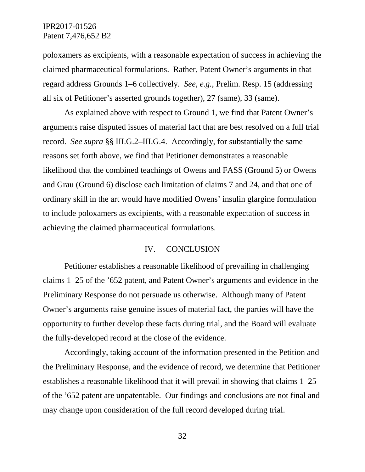poloxamers as excipients, with a reasonable expectation of success in achieving the claimed pharmaceutical formulations. Rather, Patent Owner's arguments in that regard address Grounds 1–6 collectively. *See, e.g.*, Prelim. Resp. 15 (addressing all six of Petitioner's asserted grounds together), 27 (same), 33 (same).

As explained above with respect to Ground 1, we find that Patent Owner's arguments raise disputed issues of material fact that are best resolved on a full trial record. *See supra* §§ III.G.2–III.G.4. Accordingly, for substantially the same reasons set forth above, we find that Petitioner demonstrates a reasonable likelihood that the combined teachings of Owens and FASS (Ground 5) or Owens and Grau (Ground 6) disclose each limitation of claims 7 and 24, and that one of ordinary skill in the art would have modified Owens' insulin glargine formulation to include poloxamers as excipients, with a reasonable expectation of success in achieving the claimed pharmaceutical formulations.

#### IV. CONCLUSION

Petitioner establishes a reasonable likelihood of prevailing in challenging claims 1–25 of the '652 patent, and Patent Owner's arguments and evidence in the Preliminary Response do not persuade us otherwise. Although many of Patent Owner's arguments raise genuine issues of material fact, the parties will have the opportunity to further develop these facts during trial, and the Board will evaluate the fully-developed record at the close of the evidence.

Accordingly, taking account of the information presented in the Petition and the Preliminary Response, and the evidence of record, we determine that Petitioner establishes a reasonable likelihood that it will prevail in showing that claims 1–25 of the '652 patent are unpatentable. Our findings and conclusions are not final and may change upon consideration of the full record developed during trial.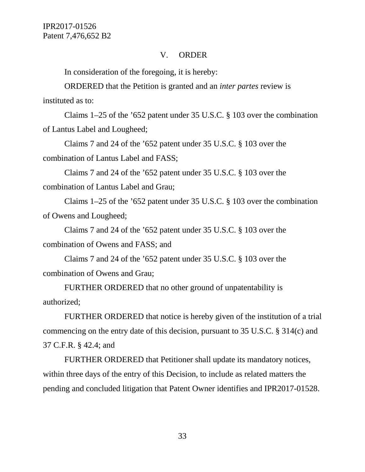#### V. ORDER

In consideration of the foregoing, it is hereby:

ORDERED that the Petition is granted and an *inter partes* review is instituted as to:

Claims 1–25 of the '652 patent under 35 U.S.C. § 103 over the combination of Lantus Label and Lougheed;

Claims 7 and 24 of the '652 patent under 35 U.S.C. § 103 over the combination of Lantus Label and FASS;

Claims 7 and 24 of the '652 patent under 35 U.S.C. § 103 over the combination of Lantus Label and Grau;

Claims 1–25 of the '652 patent under 35 U.S.C. § 103 over the combination of Owens and Lougheed;

Claims 7 and 24 of the '652 patent under 35 U.S.C. § 103 over the combination of Owens and FASS; and

Claims 7 and 24 of the '652 patent under 35 U.S.C. § 103 over the combination of Owens and Grau;

FURTHER ORDERED that no other ground of unpatentability is authorized;

FURTHER ORDERED that notice is hereby given of the institution of a trial commencing on the entry date of this decision, pursuant to 35 U.S.C. § 314(c) and 37 C.F.R. § 42.4; and

FURTHER ORDERED that Petitioner shall update its mandatory notices, within three days of the entry of this Decision, to include as related matters the pending and concluded litigation that Patent Owner identifies and IPR2017-01528.